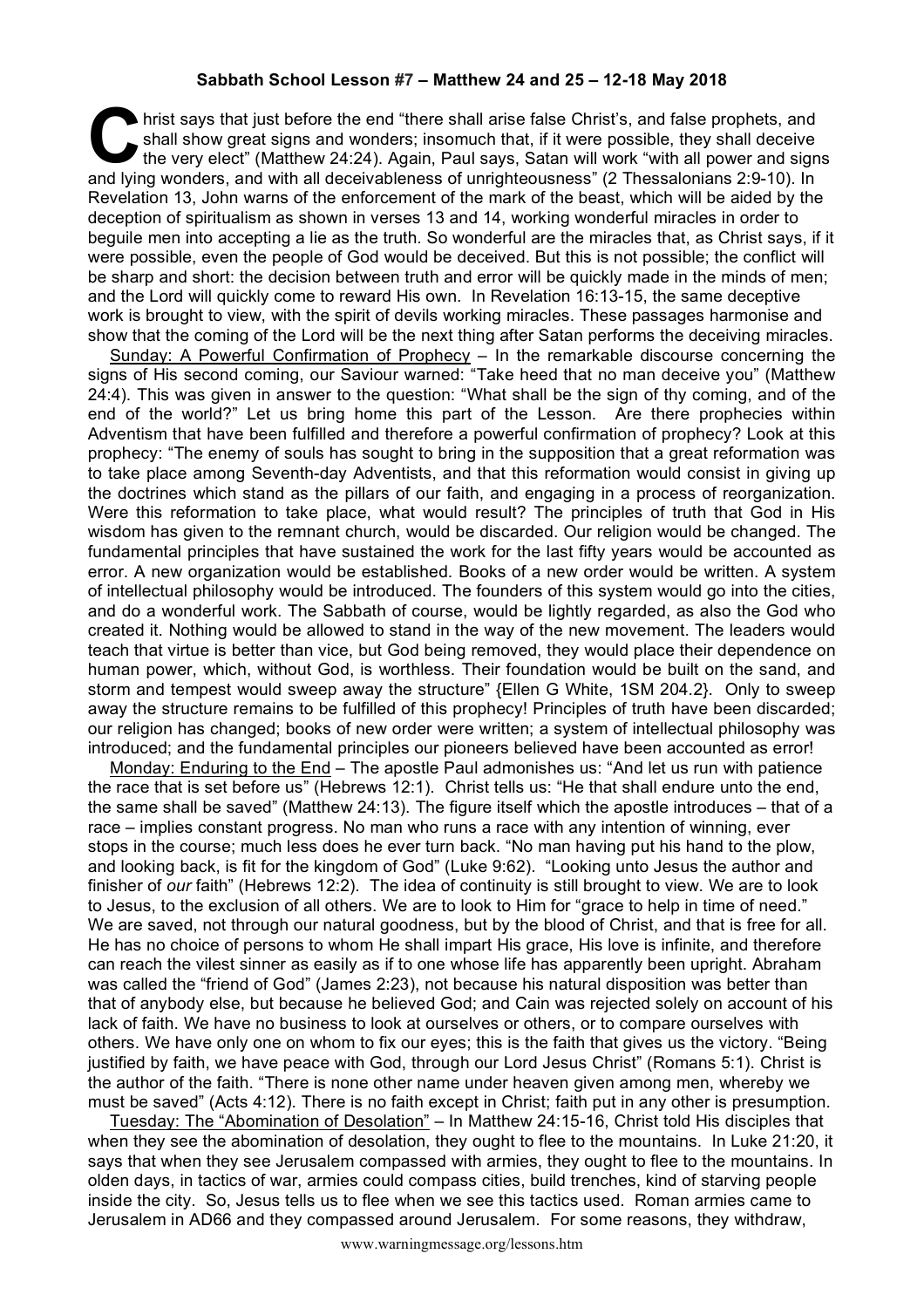## **Sabbath School Lesson #7 – Matthew 24 and 25 – 12-18 May 2018**

hrist says that just before the end "there shall arise false Christ's, and false prophets, and shall show great signs and wonders; insomuch that, if it were possible, they shall deceive the very elect" (Matthew 24:24). Again, Paul says, Satan will work "with all power and signs and lying wonders, and with all deceivableness of unrighteousness" (2 Thessalonians 2:9-10). In all deceive the very elect" (Matthew 24:24). Again, Paul says, Satan will work "with all power and sign and lying wonders, and Revelation 13, John warns of the enforcement of the mark of the beast, which will be aided by the deception of spiritualism as shown in verses 13 and 14, working wonderful miracles in order to beguile men into accepting a lie as the truth. So wonderful are the miracles that, as Christ says, if it were possible, even the people of God would be deceived. But this is not possible; the conflict will be sharp and short: the decision between truth and error will be quickly made in the minds of men; and the Lord will quickly come to reward His own. In Revelation 16:13-15, the same deceptive work is brought to view, with the spirit of devils working miracles. These passages harmonise and show that the coming of the Lord will be the next thing after Satan performs the deceiving miracles.

Sunday: A Powerful Confirmation of Prophecy – In the remarkable discourse concerning the signs of His second coming, our Saviour warned: "Take heed that no man deceive you" (Matthew 24:4). This was given in answer to the question: "What shall be the sign of thy coming, and of the end of the world?" Let us bring home this part of the Lesson. Are there prophecies within Adventism that have been fulfilled and therefore a powerful confirmation of prophecy? Look at this prophecy: "The enemy of souls has sought to bring in the supposition that a great reformation was to take place among Seventh-day Adventists, and that this reformation would consist in giving up the doctrines which stand as the pillars of our faith, and engaging in a process of reorganization. Were this reformation to take place, what would result? The principles of truth that God in His wisdom has given to the remnant church, would be discarded. Our religion would be changed. The fundamental principles that have sustained the work for the last fifty years would be accounted as error. A new organization would be established. Books of a new order would be written. A system of intellectual philosophy would be introduced. The founders of this system would go into the cities, and do a wonderful work. The Sabbath of course, would be lightly regarded, as also the God who created it. Nothing would be allowed to stand in the way of the new movement. The leaders would teach that virtue is better than vice, but God being removed, they would place their dependence on human power, which, without God, is worthless. Their foundation would be built on the sand, and storm and tempest would sweep away the structure" {Ellen G White, 1SM 204.2}. Only to sweep away the structure remains to be fulfilled of this prophecy! Principles of truth have been discarded; our religion has changed; books of new order were written; a system of intellectual philosophy was introduced; and the fundamental principles our pioneers believed have been accounted as error!

Monday: Enduring to the End – The apostle Paul admonishes us: "And let us run with patience the race that is set before us" (Hebrews 12:1). Christ tells us: "He that shall endure unto the end, the same shall be saved" (Matthew 24:13). The figure itself which the apostle introduces – that of a race – implies constant progress. No man who runs a race with any intention of winning, ever stops in the course; much less does he ever turn back. "No man having put his hand to the plow, and looking back, is fit for the kingdom of God" (Luke 9:62). "Looking unto Jesus the author and finisher of *our* faith" (Hebrews 12:2). The idea of continuity is still brought to view. We are to look to Jesus, to the exclusion of all others. We are to look to Him for "grace to help in time of need." We are saved, not through our natural goodness, but by the blood of Christ, and that is free for all. He has no choice of persons to whom He shall impart His grace, His love is infinite, and therefore can reach the vilest sinner as easily as if to one whose life has apparently been upright. Abraham was called the "friend of God" (James 2:23), not because his natural disposition was better than that of anybody else, but because he believed God; and Cain was rejected solely on account of his lack of faith. We have no business to look at ourselves or others, or to compare ourselves with others. We have only one on whom to fix our eyes; this is the faith that gives us the victory. "Being justified by faith, we have peace with God, through our Lord Jesus Christ" (Romans 5:1). Christ is the author of the faith. "There is none other name under heaven given among men, whereby we must be saved" (Acts 4:12). There is no faith except in Christ; faith put in any other is presumption.

Tuesday: The "Abomination of Desolation" – In Matthew 24:15-16, Christ told His disciples that when they see the abomination of desolation, they ought to flee to the mountains. In Luke 21:20, it says that when they see Jerusalem compassed with armies, they ought to flee to the mountains. In olden days, in tactics of war, armies could compass cities, build trenches, kind of starving people inside the city. So, Jesus tells us to flee when we see this tactics used. Roman armies came to Jerusalem in AD66 and they compassed around Jerusalem. For some reasons, they withdraw,